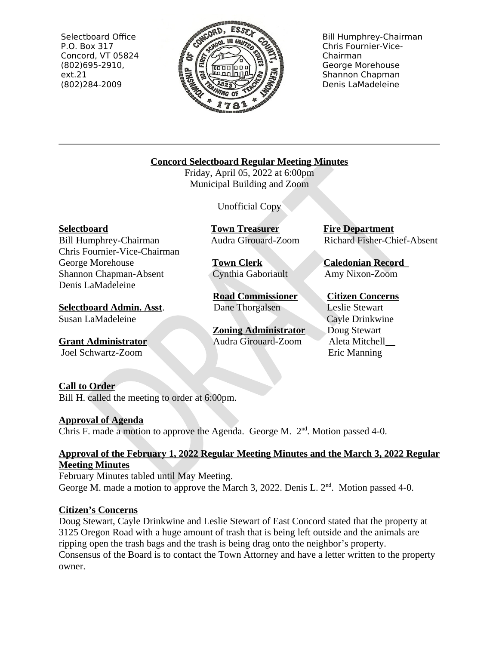Selectboard Office P.O. Box 317 Concord, VT 05824  $(802)695-2910,$  $ext.21$ (802)284-2009



**Bill Humphrey-Chairman** Chris Fournier-Vice-Chairman George Morehouse Shannon Chapman Denis LaMadeleine

# **Concord Selectboard Regular Meeting Minutes**

Friday, April 05, 2022 at 6:00pm Municipal Building and Zoom

**Unofficial Copy** 

**Selectboard** 

**Bill Humphrey-Chairman** Chris Fournier-Vice-Chairman George Morehouse Shannon Chapman-Absent Denis LaMadeleine

**Selectboard Admin. Asst.** Susan LaMadeleine

**Grant Administrator** Joel Schwartz-Zoom

**Town Treasurer** Audra Girouard-Zoom

**Town Clerk** Cynthia Gaboriault

**Road Commissioner** Dane Thorgalsen

**Zoning Administrator** Audra Girouard-Zoom

**Fire Department** Richard Fisher-Chief-Absent

**Caledonian Record** Amy Nixon-Zoom

**Citizen Concerns Leslie Stewart Cayle Drinkwine** Doug Stewart Aleta Mitchell Eric Manning

## **Call to Order**

Bill H. called the meeting to order at 6:00pm.

# **Approval of Agenda**

Chris F, made a motion to approve the Agenda, George M,  $2<sup>nd</sup>$ , Motion passed 4-0.

# Approval of the February 1, 2022 Regular Meeting Minutes and the March 3, 2022 Regular

#### **Meeting Minutes**

February Minutes tabled until May Meeting. George M, made a motion to approve the March 3, 2022, Denis L,  $2<sup>nd</sup>$ . Motion passed 4-0.

## **Citizen's Concerns**

Doug Stewart, Cayle Drinkwine and Leslie Stewart of East Concord stated that the property at 3125 Oregon Road with a huge amount of trash that is being left outside and the animals are ripping open the trash bags and the trash is being drag onto the neighbor's property. Consensus of the Board is to contact the Town Attorney and have a letter written to the property owner.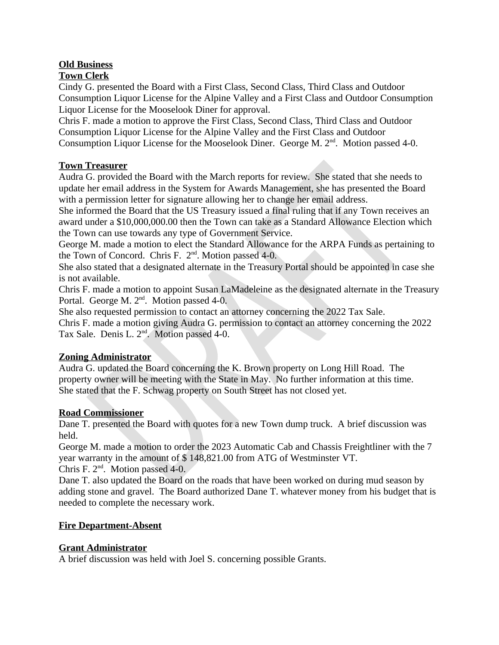# **Old Business**

## **Town Clerk**

Cindy G. presented the Board with a First Class, Second Class, Third Class and Outdoor Consumption Liquor License for the Alpine Valley and a First Class and Outdoor Consumption Liquor License for the Mooselook Diner for approval.

Chris F. made a motion to approve the First Class, Second Class, Third Class and Outdoor Consumption Liquor License for the Alpine Valley and the First Class and Outdoor Consumption Liquor License for the Mooselook Diner. George M. 2<sup>nd</sup>. Motion passed 4-0.

## **Town Treasurer**

Audra G. provided the Board with the March reports for review. She stated that she needs to update her email address in the System for Awards Management, she has presented the Board with a permission letter for signature allowing her to change her email address.

She informed the Board that the US Treasury issued a final ruling that if any Town receives an award under a \$10,000,000.00 then the Town can take as a Standard Allowance Election which the Town can use towards any type of Government Service.

George M. made a motion to elect the Standard Allowance for the ARPA Funds as pertaining to the Town of Concord. Chris F. 2<sup>nd</sup>. Motion passed 4-0.

She also stated that a designated alternate in the Treasury Portal should be appointed in case she is not available.

Chris F. made a motion to appoint Susan LaMadeleine as the designated alternate in the Treasury Portal. George M. 2<sup>nd</sup>. Motion passed 4-0.

She also requested permission to contact an attorney concerning the 2022 Tax Sale.

Chris F. made a motion giving Audra G. permission to contact an attorney concerning the 2022 Tax Sale. Denis L. 2<sup>nd</sup>. Motion passed 4-0.

## **Zoning Administrator**

Audra G. updated the Board concerning the K. Brown property on Long Hill Road. The property owner will be meeting with the State in May. No further information at this time. She stated that the F. Schwag property on South Street has not closed yet.

## **Road Commissioner**

Dane T. presented the Board with quotes for a new Town dump truck. A brief discussion was held.

George M. made a motion to order the 2023 Automatic Cab and Chassis Freightliner with the 7 year warranty in the amount of \$148,821.00 from ATG of Westminster VT. Chris F. 2<sup>nd</sup>. Motion passed 4-0.

Dane T. also updated the Board on the roads that have been worked on during mud season by adding stone and gravel. The Board authorized Dane T. whatever money from his budget that is needed to complete the necessary work.

## **Fire Department-Absent**

## **Grant Administrator**

A brief discussion was held with Joel S. concerning possible Grants.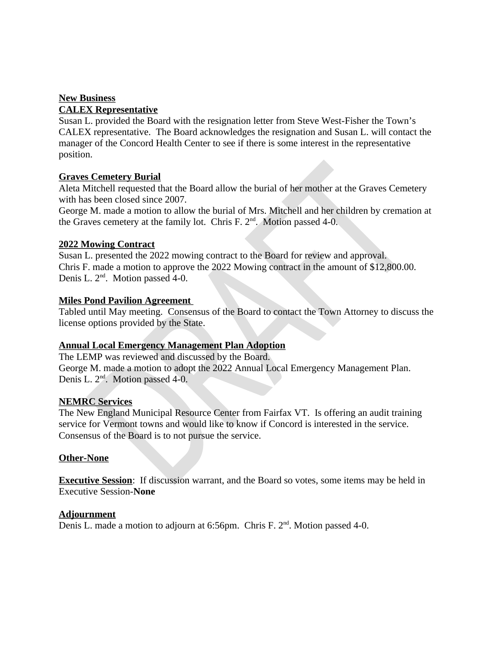#### **New Business**

#### **CALEX Representative**

Susan L. provided the Board with the resignation letter from Steve West-Fisher the Town's CALEX representative. The Board acknowledges the resignation and Susan L. will contact the manager of the Concord Health Center to see if there is some interest in the representative position.

#### **Graves Cemetery Burial**

Aleta Mitchell requested that the Board allow the burial of her mother at the Graves Cemetery with has been closed since 2007.

George M. made a motion to allow the burial of Mrs. Mitchell and her children by cremation at the Graves cemetery at the family lot. Chris F. 2<sup>nd</sup>. Motion passed 4-0.

#### **2022 Mowing Contract**

Susan L. presented the 2022 mowing contract to the Board for review and approval. Chris F. made a motion to approve the 2022 Mowing contract in the amount of \$12,800.00. Denis L. 2<sup>nd</sup>. Motion passed 4-0.

#### **Miles Pond Pavilion Agreement**

Tabled until May meeting. Consensus of the Board to contact the Town Attorney to discuss the license options provided by the State.

## **Annual Local Emergency Management Plan Adoption**

The LEMP was reviewed and discussed by the Board. George M. made a motion to adopt the 2022 Annual Local Emergency Management Plan. Denis L. 2<sup>nd</sup>. Motion passed 4-0.

#### **NEMRC Services**

The New England Municipal Resource Center from Fairfax VT. Is offering an audit training service for Vermont towns and would like to know if Concord is interested in the service. Consensus of the Board is to not pursue the service.

#### **Other-None**

**Executive Session:** If discussion warrant, and the Board so votes, some items may be held in **Executive Session-None** 

#### **Adjournment**

Denis L. made a motion to adjourn at 6:56pm. Chris F. 2<sup>nd</sup>. Motion passed 4-0.